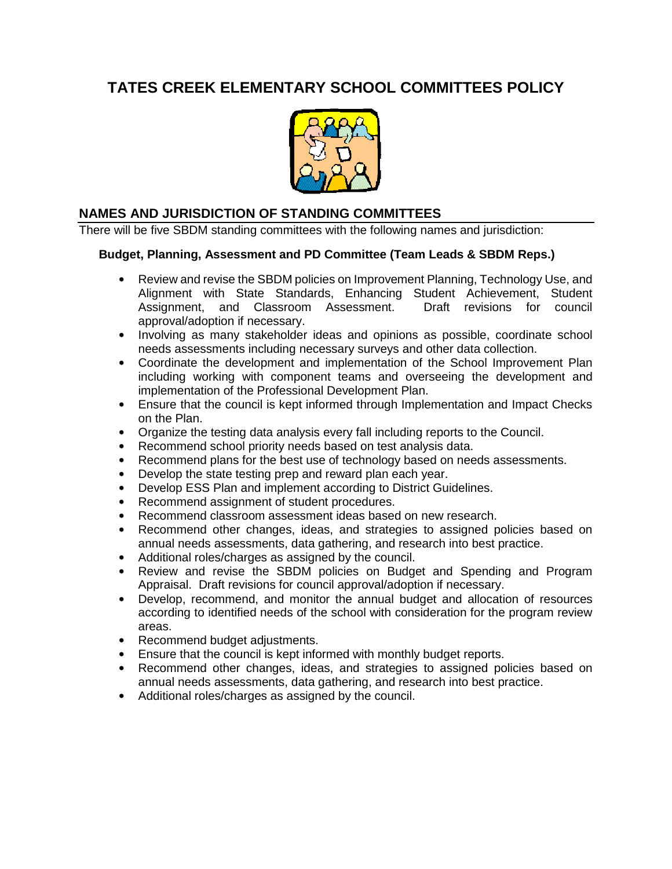# **TATES CREEK ELEMENTARY SCHOOL COMMITTEES POLICY**



# **NAMES AND JURISDICTION OF STANDING COMMITTEES**

There will be five SBDM standing committees with the following names and jurisdiction:

#### **Budget, Planning, Assessment and PD Committee (Team Leads & SBDM Reps.)**

- Review and revise the SBDM policies on Improvement Planning, Technology Use, and Alignment with State Standards, Enhancing Student Achievement, Student Assignment, and Classroom Assessment. Draft revisions for council approval/adoption if necessary.
- Involving as many stakeholder ideas and opinions as possible, coordinate school needs assessments including necessary surveys and other data collection.
- Coordinate the development and implementation of the School Improvement Plan including working with component teams and overseeing the development and implementation of the Professional Development Plan.
- Ensure that the council is kept informed through Implementation and Impact Checks on the Plan.
- Organize the testing data analysis every fall including reports to the Council.
- Recommend school priority needs based on test analysis data.
- Recommend plans for the best use of technology based on needs assessments.
- Develop the state testing prep and reward plan each year.
- Develop ESS Plan and implement according to District Guidelines.
- Recommend assignment of student procedures.
- Recommend classroom assessment ideas based on new research.
- Recommend other changes, ideas, and strategies to assigned policies based on annual needs assessments, data gathering, and research into best practice.
- Additional roles/charges as assigned by the council.
- Review and revise the SBDM policies on Budget and Spending and Program Appraisal. Draft revisions for council approval/adoption if necessary.
- Develop, recommend, and monitor the annual budget and allocation of resources according to identified needs of the school with consideration for the program review areas.
- Recommend budget adjustments.
- Ensure that the council is kept informed with monthly budget reports.
- Recommend other changes, ideas, and strategies to assigned policies based on annual needs assessments, data gathering, and research into best practice.
- Additional roles/charges as assigned by the council.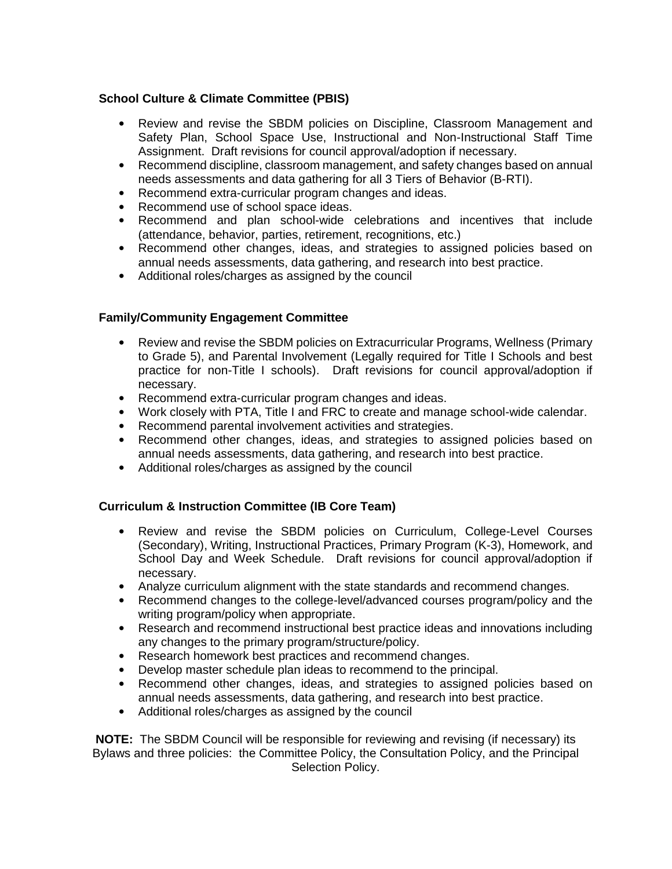#### **School Culture & Climate Committee (PBIS)**

- Review and revise the SBDM policies on Discipline, Classroom Management and Safety Plan, School Space Use, Instructional and Non-Instructional Staff Time Assignment. Draft revisions for council approval/adoption if necessary.
- Recommend discipline, classroom management, and safety changes based on annual needs assessments and data gathering for all 3 Tiers of Behavior (B-RTI).
- Recommend extra-curricular program changes and ideas.
- Recommend use of school space ideas.
- Recommend and plan school-wide celebrations and incentives that include (attendance, behavior, parties, retirement, recognitions, etc.)
- Recommend other changes, ideas, and strategies to assigned policies based on annual needs assessments, data gathering, and research into best practice.
- Additional roles/charges as assigned by the council

## **Family/Community Engagement Committee**

- Review and revise the SBDM policies on Extracurricular Programs, Wellness (Primary to Grade 5), and Parental Involvement (Legally required for Title I Schools and best practice for non-Title I schools). Draft revisions for council approval/adoption if necessary.
- Recommend extra-curricular program changes and ideas.
- Work closely with PTA, Title I and FRC to create and manage school-wide calendar.
- Recommend parental involvement activities and strategies.
- Recommend other changes, ideas, and strategies to assigned policies based on annual needs assessments, data gathering, and research into best practice.
- Additional roles/charges as assigned by the council

#### **Curriculum & Instruction Committee (IB Core Team)**

- Review and revise the SBDM policies on Curriculum, College-Level Courses (Secondary), Writing, Instructional Practices, Primary Program (K-3), Homework, and School Day and Week Schedule. Draft revisions for council approval/adoption if necessary.
- Analyze curriculum alignment with the state standards and recommend changes.
- Recommend changes to the college-level/advanced courses program/policy and the writing program/policy when appropriate.
- Research and recommend instructional best practice ideas and innovations including any changes to the primary program/structure/policy.
- Research homework best practices and recommend changes.
- Develop master schedule plan ideas to recommend to the principal.
- Recommend other changes, ideas, and strategies to assigned policies based on annual needs assessments, data gathering, and research into best practice.
- Additional roles/charges as assigned by the council

**NOTE:** The SBDM Council will be responsible for reviewing and revising (if necessary) its Bylaws and three policies: the Committee Policy, the Consultation Policy, and the Principal Selection Policy.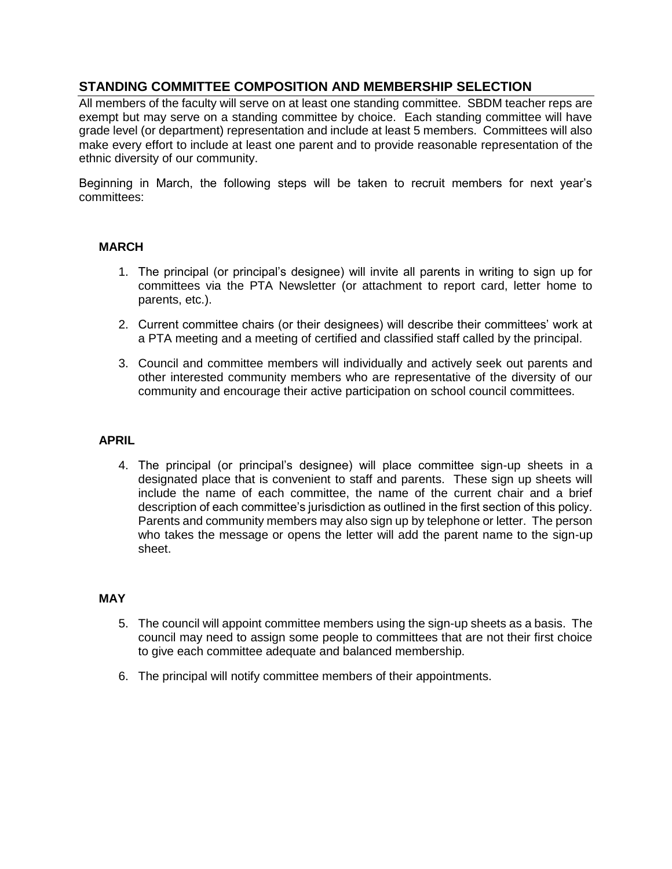# **STANDING COMMITTEE COMPOSITION AND MEMBERSHIP SELECTION**

All members of the faculty will serve on at least one standing committee. SBDM teacher reps are exempt but may serve on a standing committee by choice. Each standing committee will have grade level (or department) representation and include at least 5 members. Committees will also make every effort to include at least one parent and to provide reasonable representation of the ethnic diversity of our community.

Beginning in March, the following steps will be taken to recruit members for next year's committees:

#### **MARCH**

- 1. The principal (or principal's designee) will invite all parents in writing to sign up for committees via the PTA Newsletter (or attachment to report card, letter home to parents, etc.).
- 2. Current committee chairs (or their designees) will describe their committees' work at a PTA meeting and a meeting of certified and classified staff called by the principal.
- 3. Council and committee members will individually and actively seek out parents and other interested community members who are representative of the diversity of our community and encourage their active participation on school council committees.

#### **APRIL**

4. The principal (or principal's designee) will place committee sign-up sheets in a designated place that is convenient to staff and parents. These sign up sheets will include the name of each committee, the name of the current chair and a brief description of each committee's jurisdiction as outlined in the first section of this policy. Parents and community members may also sign up by telephone or letter. The person who takes the message or opens the letter will add the parent name to the sign-up sheet.

#### **MAY**

- 5. The council will appoint committee members using the sign-up sheets as a basis. The council may need to assign some people to committees that are not their first choice to give each committee adequate and balanced membership.
- 6. The principal will notify committee members of their appointments.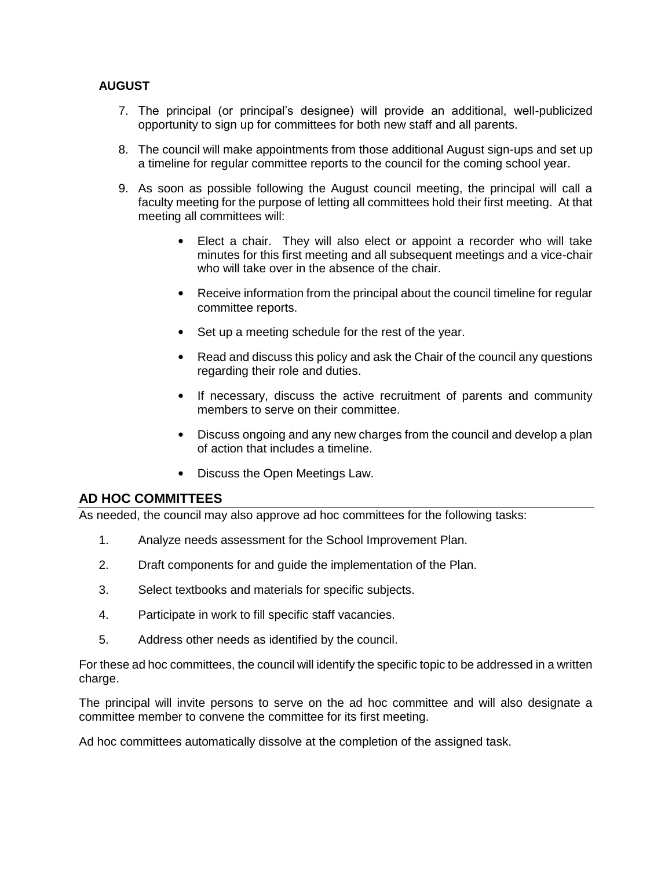## **AUGUST**

- 7. The principal (or principal's designee) will provide an additional, well-publicized opportunity to sign up for committees for both new staff and all parents.
- 8. The council will make appointments from those additional August sign-ups and set up a timeline for regular committee reports to the council for the coming school year.
- 9. As soon as possible following the August council meeting, the principal will call a faculty meeting for the purpose of letting all committees hold their first meeting. At that meeting all committees will:
	- Elect a chair. They will also elect or appoint a recorder who will take minutes for this first meeting and all subsequent meetings and a vice-chair who will take over in the absence of the chair.
	- Receive information from the principal about the council timeline for regular committee reports.
	- Set up a meeting schedule for the rest of the year.
	- Read and discuss this policy and ask the Chair of the council any questions regarding their role and duties.
	- If necessary, discuss the active recruitment of parents and community members to serve on their committee.
	- Discuss ongoing and any new charges from the council and develop a plan of action that includes a timeline.
	- Discuss the Open Meetings Law.

#### **AD HOC COMMITTEES**

As needed, the council may also approve ad hoc committees for the following tasks:

- 1. Analyze needs assessment for the School Improvement Plan.
- 2. Draft components for and guide the implementation of the Plan.
- 3. Select textbooks and materials for specific subjects.
- 4. Participate in work to fill specific staff vacancies.
- 5. Address other needs as identified by the council.

For these ad hoc committees, the council will identify the specific topic to be addressed in a written charge.

The principal will invite persons to serve on the ad hoc committee and will also designate a committee member to convene the committee for its first meeting.

Ad hoc committees automatically dissolve at the completion of the assigned task.